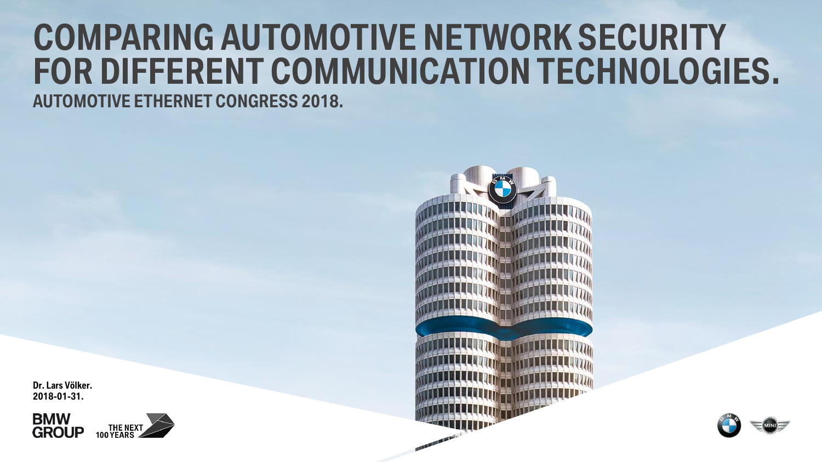# **COMPARING AUTOMOTIVE NETWORK SECURITY FOR DIFFERENT COMMUNICATION TECHNOLOGIES.**

**AUTOMOTIVE ETHERNET CONGRESS 2018.**







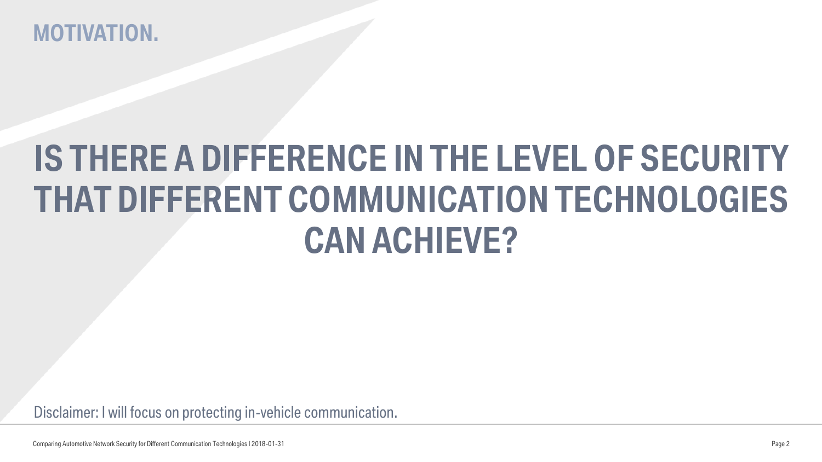### **MOTIVATION.**

# **IS THERE A DIFFERENCE IN THE LEVEL OF SECURITY THAT DIFFERENT COMMUNICATION TECHNOLOGIES CAN ACHIEVE?**

Disclaimer: I will focus on protecting in-vehicle communication.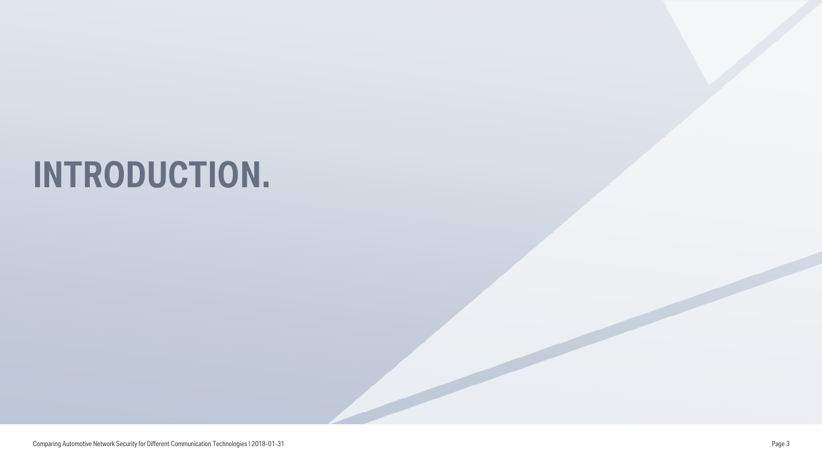# **INTRODUCTION.**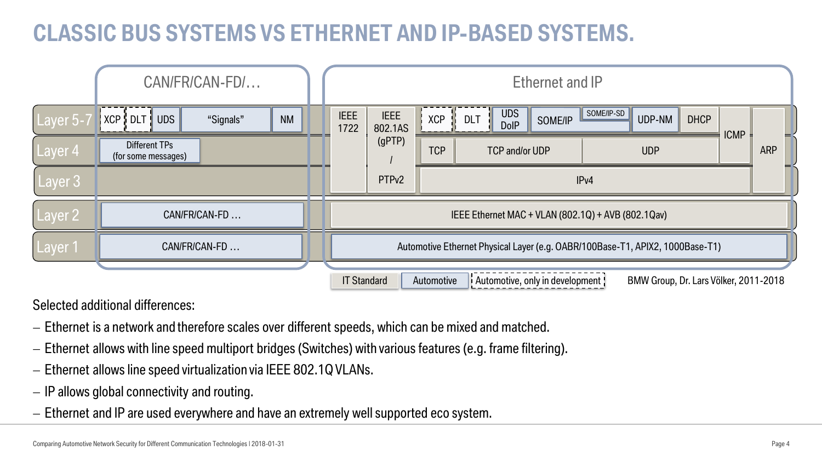# **CLASSIC BUS SYSTEMS VS ETHERNET AND IP-BASED SYSTEMS.**

|                    | CAN/FR/CAN-FD/                       |                                                                                                                |  | Ethernet and IP     |                                                                               |            |                                         |         |            |            |             |             |            |
|--------------------|--------------------------------------|----------------------------------------------------------------------------------------------------------------|--|---------------------|-------------------------------------------------------------------------------|------------|-----------------------------------------|---------|------------|------------|-------------|-------------|------------|
| Layer 5-7          | <b>UDS</b><br>"Signals"              | <b>NM</b>                                                                                                      |  | <b>IEEE</b><br>1722 | <b>IEEE</b><br>802.1AS                                                        | <b>XCP</b> | <b>UDS</b><br><b>DLT</b><br><b>DolP</b> | SOME/IP | SOME/IP-SD | UDP-NM     | <b>DHCP</b> | <b>ICMP</b> |            |
| Layer <sub>4</sub> | Different TPs<br>(for some messages) |                                                                                                                |  |                     | (gPTP)                                                                        | <b>TCP</b> | <b>TCP and/or UDP</b>                   |         |            | <b>UDP</b> |             |             | <b>ARP</b> |
| Layer 3            |                                      |                                                                                                                |  |                     | PTP <sub>v2</sub>                                                             |            |                                         |         | IPv4       |            |             |             |            |
| Layer 2            | CAN/FR/CAN-FD                        | IEEE Ethernet MAC + VLAN (802.1Q) + AVB (802.1Qav)                                                             |  |                     |                                                                               |            |                                         |         |            |            |             |             |            |
| Layer 1            | CAN/FR/CAN-FD                        |                                                                                                                |  |                     | Automotive Ethernet Physical Layer (e.g. OABR/100Base-T1, APIX2, 1000Base-T1) |            |                                         |         |            |            |             |             |            |
|                    |                                      | Automotive, only in development !<br><b>IT Standard</b><br>Automotive<br>BMW Group, Dr. Lars Völker, 2011-2018 |  |                     |                                                                               |            |                                         |         |            |            |             |             |            |

Selected additional differences:

- Ethernet is a network and therefore scales over different speeds, which can be mixed and matched.
- Ethernet allows with line speed multiport bridges (Switches) with various features (e.g. frame filtering).
- Ethernet allows line speed virtualization via IEEE 802.1Q VLANs.
- $-$  IP allows global connectivity and routing.
- Ethernet and IP are used everywhere and have an extremely well supported eco system.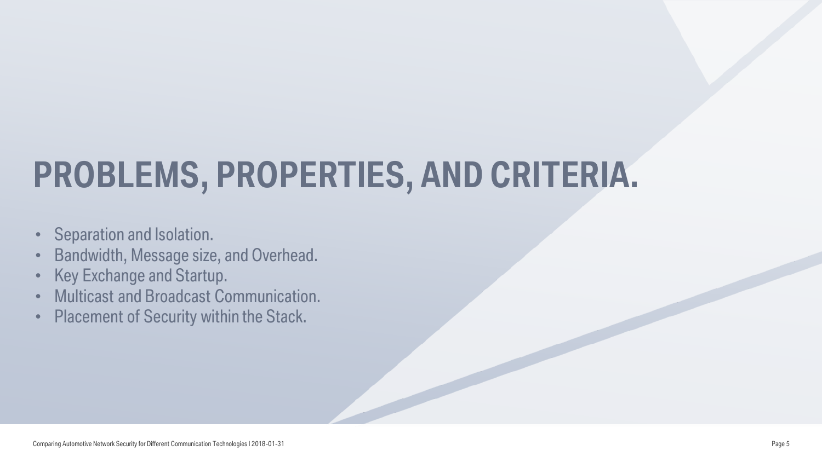# **PROBLEMS, PROPERTIES, AND CRITERIA.**

- Separation and Isolation.
- Bandwidth, Message size, and Overhead.
- Key Exchange and Startup.
- Multicast and Broadcast Communication.
- Placement of Security within the Stack.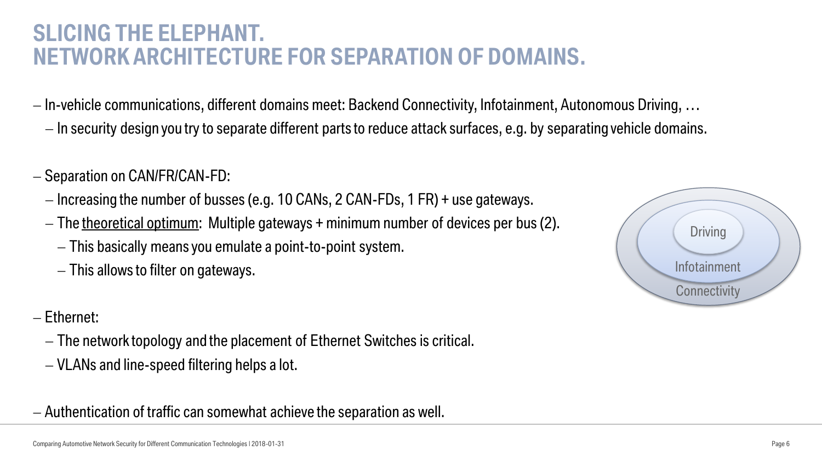#### **SLICING THE ELEPHANT. NETWORK ARCHITECTURE FOR SEPARATION OF DOMAINS.**

- In-vehicle communications, different domains meet: Backend Connectivity, Infotainment, Autonomous Driving, …
	- $-I$ n security design you try to separate different parts to reduce attack surfaces, e.g. by separating vehicle domains.
- $-$  Separation on CAN/FR/CAN-FD:
	- $-I$  Increasing the number of busses (e.g. 10 CANs, 2 CAN-FDs, 1 FR) + use gateways.
	- $-$  The theoretical optimum: Multiple gateways + minimum number of devices per bus (2).
		- This basically means you emulate a point-to-point system.
		- $-$  This allows to filter on gateways.

#### - Ethernet:

- The network topology and the placement of Ethernet Switches is critical.
- VLANs and line-speed filtering helps a lot.

Authentication of traffic can somewhat achieve the separation as well.

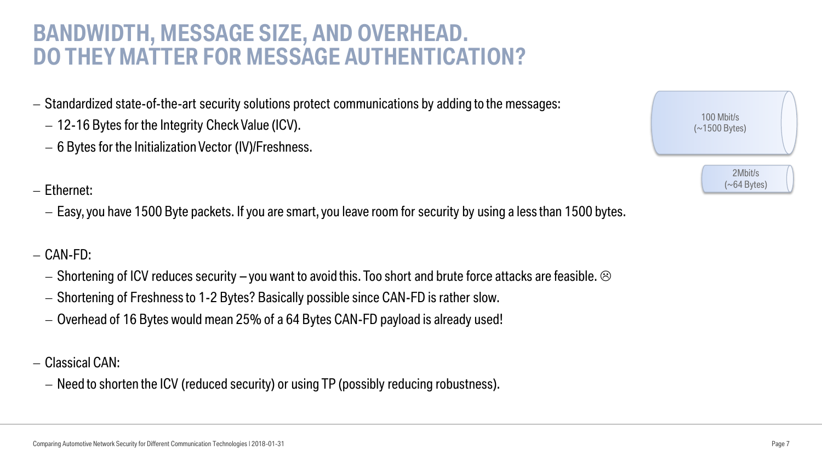#### **BANDWIDTH, MESSAGE SIZE, AND OVERHEAD. DO THEY MATTER FOR MESSAGE AUTHENTICATION?**

- $-$  Standardized state-of-the-art security solutions protect communications by adding to the messages:
	- 12-16 Bytes for the Integrity Check Value (ICV).
	- 6 Bytes for the Initialization Vector (IV)/Freshness.
- Ethernet:
	- Easy, you have 1500 Byte packets. If you are smart, you leave room for security by using a less than 1500 bytes.
- $-$  CAN-FD:
	- $-$  Shortening of ICV reduces security you want to avoid this. Too short and brute force attacks are feasible.  $\odot$
	- Shortening of Freshness to 1-2 Bytes? Basically possible since CAN-FD is rather slow.
	- Overhead of 16 Bytes would mean 25% of a 64 Bytes CAN-FD payload is already used!
- Classical CAN:
	- Need to shorten the ICV (reduced security) or using TP (possibly reducing robustness).

| 100 Mbit/s<br>$(\sim 1500$ Bytes) |  |
|-----------------------------------|--|
| 2Mbit/s<br>$(\sim 64$ Bytes)      |  |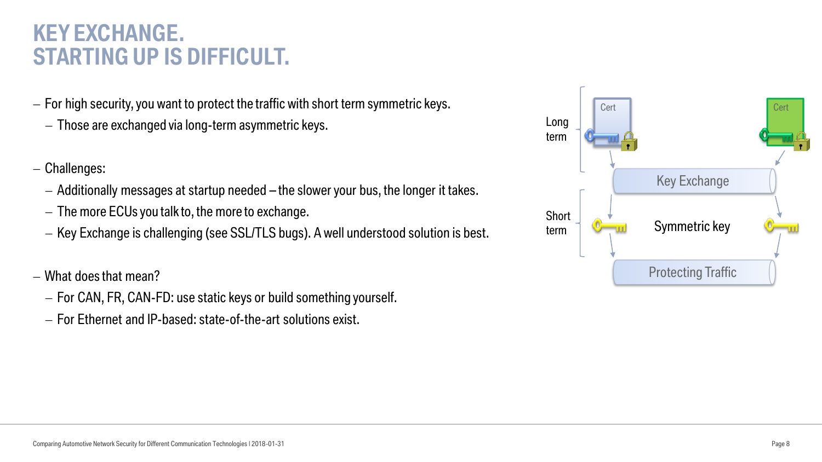### **KEY EXCHANGE. STARTING UP IS DIFFICULT.**

- $-$  For high security, you want to protect the traffic with short term symmetric keys.
	- Those are exchanged via long-term asymmetric keys.
- Challenges:
	- $-$  Additionally messages at startup needed  $-$  the slower your bus, the longer it takes.
	- $-$  The more ECUs you talk to, the more to exchange.
	- Key Exchange is challenging (see SSL/TLS bugs). A well understood solution is best.
- What does that mean?
	- For CAN, FR, CAN-FD: use static keys or build something yourself.
	- For Ethernet and IP-based: state-of-the-art solutions exist.

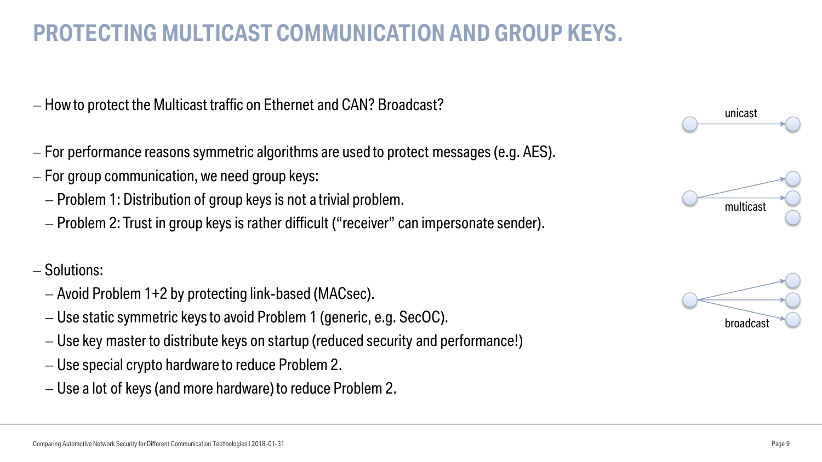## **PROTECTING MULTICAST COMMUNICATION AND GROUP KEYS.**

- $-$  How to protect the Multicast traffic on Ethernet and CAN? Broadcast?
- For performance reasons symmetric algorithms are used to protect messages (e.g. AES).
- For group communication, we need group keys:
	- Problem 1: Distribution of group keys is not a trivial problem.
	- Problem 2: Trust in group keys is rather difficult ("receiver" can impersonate sender).

#### - Solutions:

- Avoid Problem 1+2 by protecting link-based (MACsec).
- Use static symmetric keys to avoid Problem 1 (generic, e.g. SecOC).
- Use key master to distribute keys on startup (reduced security and performance!)
- Use special crypto hardware to reduce Problem 2.
- Use a lot of keys (and more hardware) to reduce Problem 2.





hroadcas

unicast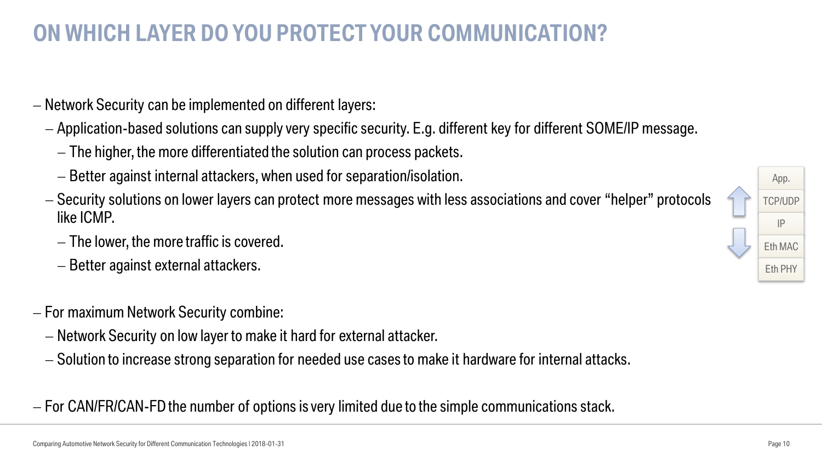## **ON WHICH LAYER DO YOU PROTECT YOUR COMMUNICATION?**

- Network Security can be implemented on different layers:
	- Application-based solutions can supply very specific security. E.g. different key for different SOME/IP message.
		- The higher, the more differentiated the solution can process packets.
		- Better against internal attackers, when used for separation/isolation.
	- Security solutions on lower layers can protect more messages with less associations and cover "helper" protocols like ICMP.
		- The lower, the more traffic is covered.
		- $-B$ etter against external attackers.
- For maximum Network Security combine:
	- Network Security on low layer to make it hard for external attacker.
	- Solution to increase strong separation for needed use cases to make it hardware for internal attacks.
- For CAN/FR/CAN-FD the number of options is very limited due to the simple communications stack.

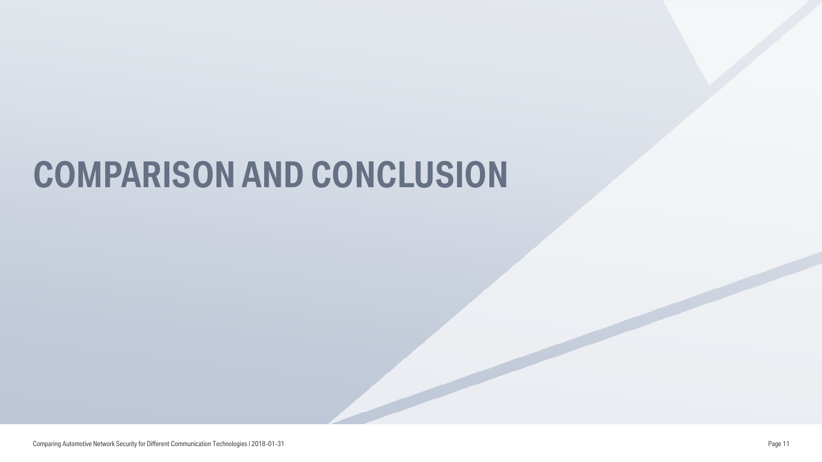# **COMPARISON AND CONCLUSION**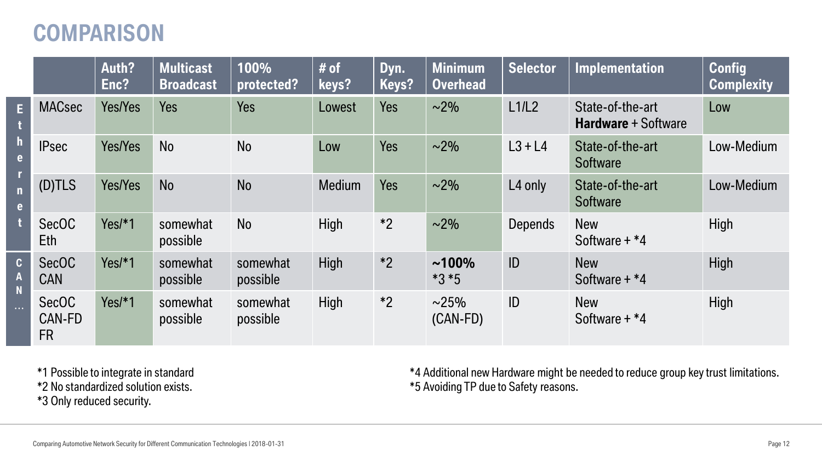### **COMPARISON**

|                                                             |                                            | Auth?<br>Enc?  | <b>Multicast</b><br><b>Broadcast</b> | 100%<br>protected?   | # of<br>keys? | Dyn.<br>Keys? | <b>Minimum</b><br><b>Overhead</b> | <b>Selector</b>     | <b>Implementation</b>                          | <b>Config</b><br><b>Complexity</b> |
|-------------------------------------------------------------|--------------------------------------------|----------------|--------------------------------------|----------------------|---------------|---------------|-----------------------------------|---------------------|------------------------------------------------|------------------------------------|
| E                                                           | <b>MACsec</b>                              | <b>Yes/Yes</b> | <b>Yes</b>                           | <b>Yes</b>           | Lowest        | <b>Yes</b>    | $\sim$ 2%                         | L1/L2               | State-of-the-art<br><b>Hardware</b> + Software | Low                                |
| $\mathbf h$<br>$\mathbf{e}$                                 | <b>IPsec</b>                               | Yes/Yes        | <b>No</b>                            | <b>No</b>            | Low           | Yes           | $\sim$ 2%                         | $L3 + L4$           | State-of-the-art<br><b>Software</b>            | Low-Medium                         |
| $\overline{\mathsf{n}}$<br>$\mathbf{e}$                     | (D)TLS                                     | <b>Yes/Yes</b> | <b>No</b>                            | <b>No</b>            | <b>Medium</b> | <b>Yes</b>    | $\sim$ 2%                         | L <sub>4</sub> only | State-of-the-art<br><b>Software</b>            | Low-Medium                         |
|                                                             | <b>SecOC</b><br>Eth                        | $Yes/*1$       | somewhat<br>possible                 | <b>No</b>            | High          | $*2$          | $\sim$ 2%                         | <b>Depends</b>      | <b>New</b><br>Software $+ *4$                  | High                               |
| $\mathbf{C}$<br>$\boldsymbol{A}$<br>$\overline{\mathsf{N}}$ | <b>SecOC</b><br><b>CAN</b>                 | $Yes/*1$       | somewhat<br>possible                 | somewhat<br>possible | <b>High</b>   | $*2$          | $~100\%$<br>$*3 * 5$              | ID                  | <b>New</b><br>Software $+ *4$                  | High                               |
| $\ldots$                                                    | <b>SecOC</b><br><b>CAN-FD</b><br><b>FR</b> | $Yes/*1$       | somewhat<br>possible                 | somewhat<br>possible | High          | $*2$          | $\sim$ 25%<br>$(CAN-FD)$          | ID                  | <b>New</b><br>Software $+ *4$                  | High                               |

\*1 Possible to integrate in standard

\*2 No standardized solution exists.

\*3 Only reduced security.

\*4 Additional new Hardware might be needed to reduce group key trust limitations. \*5 Avoiding TP due to Safety reasons.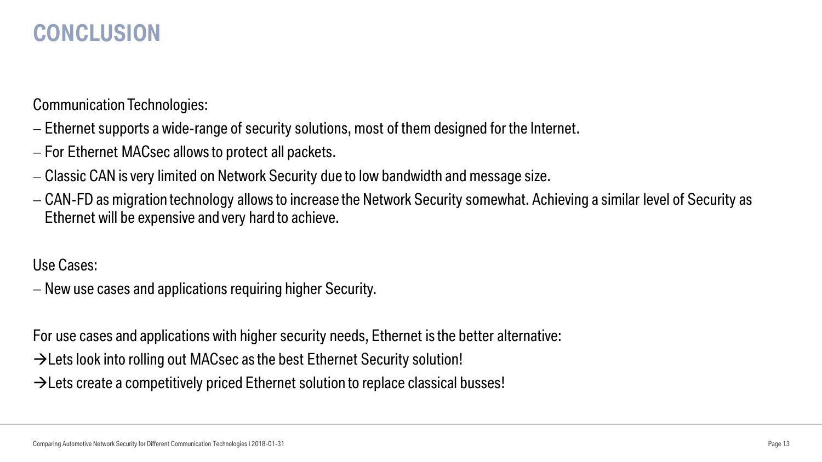### **CONCLUSION**

Communication Technologies:

- Ethernet supports a wide-range of security solutions, most of them designed for the Internet.
- For Ethernet MACsec allows to protect all packets.
- Classic CAN is very limited on Network Security due to low bandwidth and message size.
- CAN-FD as migration technology allows to increase the Network Security somewhat. Achieving a similar level of Security as Ethernet will be expensive and very hard to achieve.

Use Cases:

New use cases and applications requiring higher Security.

For use cases and applications with higher security needs, Ethernet is the better alternative:

 $\rightarrow$  Lets look into rolling out MACsec as the best Ethernet Security solution!

 $\rightarrow$  Lets create a competitively priced Ethernet solution to replace classical busses!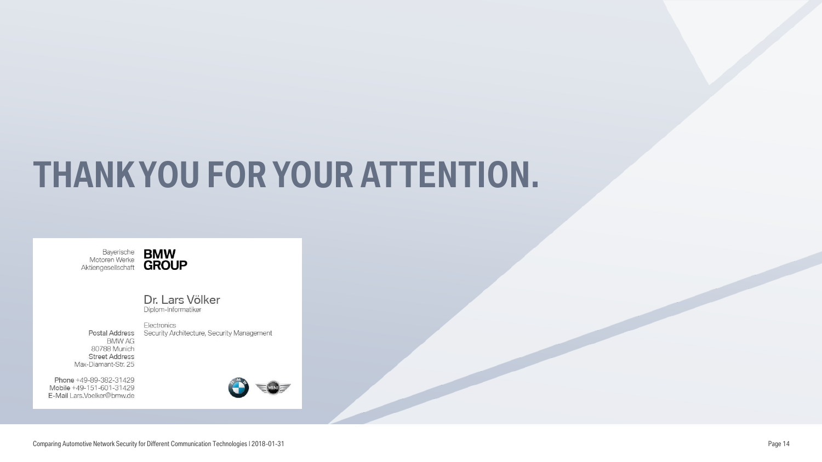# **THANK YOU FOR YOUR ATTENTION.**



Dr. Lars Völker Diplom-Informatiker

Postal Address **BMW AG** 80788 Munich **Street Address** Max-Diamant-Str. 25

Phone +49-89-382-31429 Mobile +49-151-601-31429 E-Mail Lars.Voelker@bmw.de



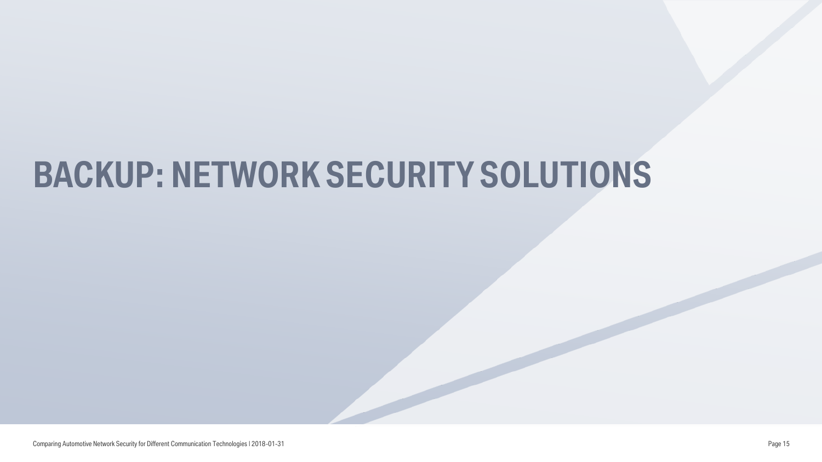# **BACKUP: NETWORK SECURITY SOLUTIONS**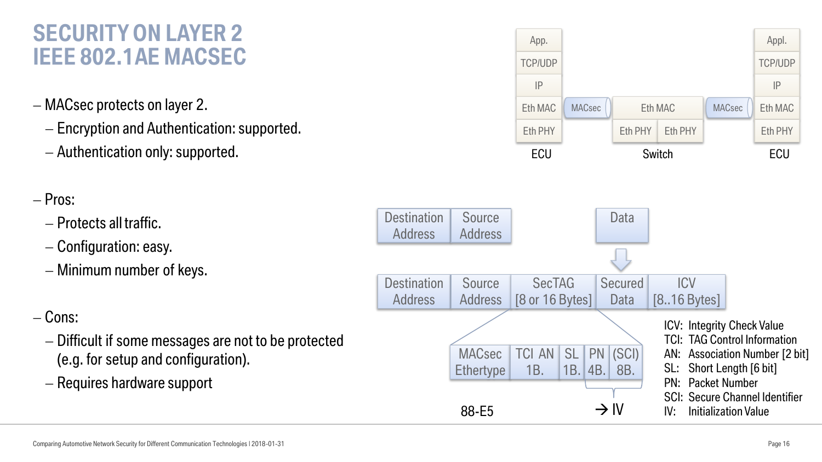### **SECURITY ON LAYER 2 IEEE 802.1AE MACSEC**

- MACsec protects on layer 2.
	- Encryption and Authentication: supported.
	- Authentication only: supported.

#### $-$  Pros:

- Protects all traffic.
- Configuration: easy.
- Minimum number of keys.

#### $-$  Cons:

- Difficult if some messages are not to be protected (e.g. for setup and configuration).
- Requires hardware support

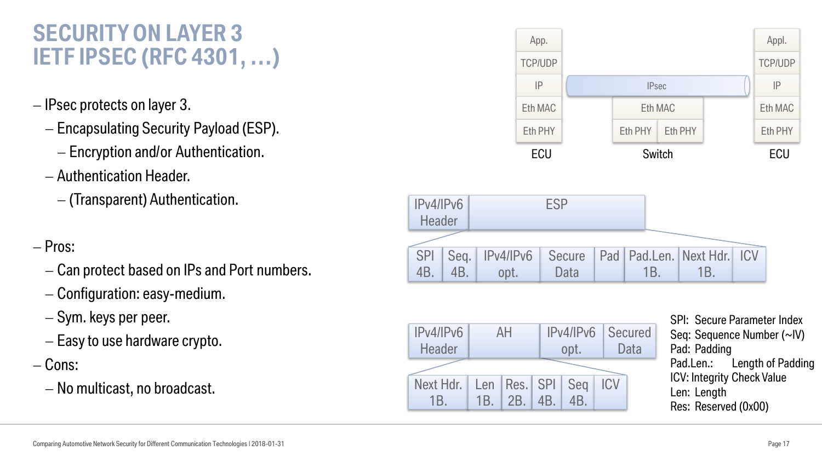### **SECURITY ON LAYER 3 IETF IPSEC (RFC 4301, …)**

- IPsec protects on layer 3.
	- Encapsulating Security Payload (ESP).
		- Encryption and/or Authentication.
	- Authentication Header.
		- (Transparent) Authentication.
- Pros:
	- Can protect based on IPs and Port numbers.
	- Configuration: easy-medium.
	- $-$  Sym. keys per peer.
	- $-E$ asy to use hardware crypto.
- $-$  Cons:
	- $-$  No multicast, no broadcast.



| IPv4/IPv6<br><b>Header</b> | AH  |                        |          | opt.            | <b>IPv4/IPv6 Secured</b><br>Data |  |  |  |  |  |
|----------------------------|-----|------------------------|----------|-----------------|----------------------------------|--|--|--|--|--|
|                            |     |                        |          |                 |                                  |  |  |  |  |  |
| Next Hdr.                  |     | Len   Res.   SPI   Seg |          |                 | <b>ICV</b>                       |  |  |  |  |  |
| 1 B                        | 1B. |                        | 2B. 14B. | 4B <sub>1</sub> |                                  |  |  |  |  |  |

SPI: Secure Parameter Index Seq: Sequence Number (~IV) Pad: Padding Pad.Len.: Length of Padding ICV: Integrity Check Value Len: Length Res: Reserved (0x00)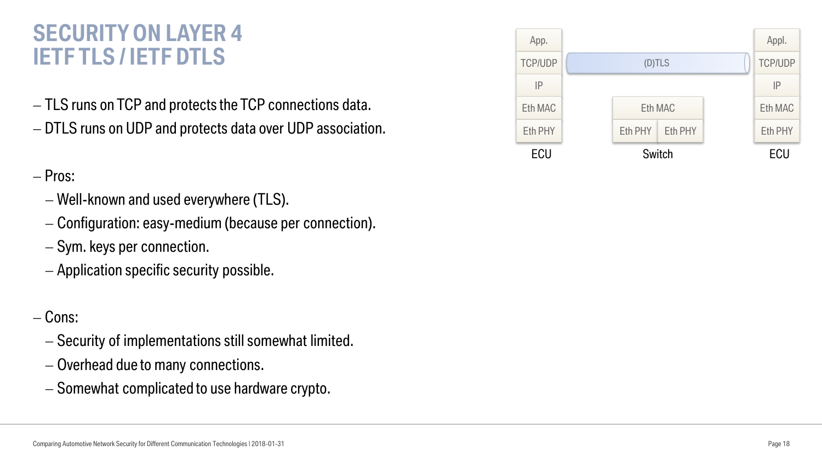### **SECURITY ON LAYER 4 IETF TLS / IETF DTLS** (D)TLS

- $-$  TLS runs on TCP and protects the TCP connections data.
- DTLS runs on UDP and protects data over UDP association.

#### - Pros:

- Well-known and used everywhere (TLS).
- Configuration: easy-medium (because per connection).
- Sym. keys per connection.
- Application specific security possible.

#### - Cons:

- Security of implementations still somewhat limited.
- Overhead due to many connections.
- Somewhat complicated to use hardware crypto.